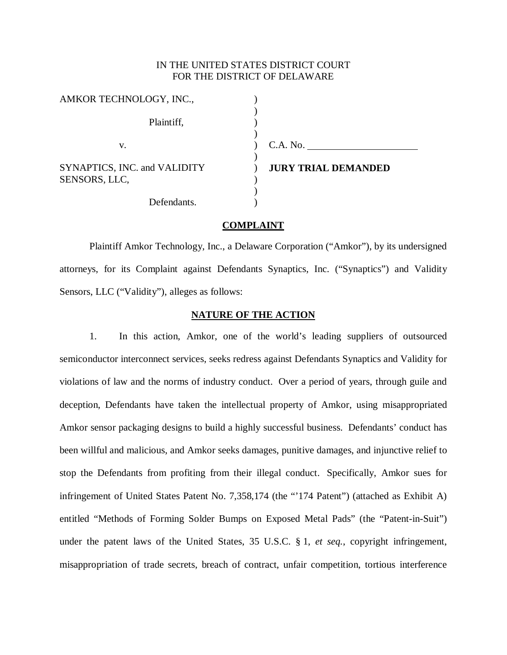# IN THE UNITED STATES DISTRICT COURT FOR THE DISTRICT OF DELAWARE

| AMKOR TECHNOLOGY, INC.,                       |                            |
|-----------------------------------------------|----------------------------|
| Plaintiff,                                    |                            |
| V.                                            | C.A. No.                   |
| SYNAPTICS, INC. and VALIDITY<br>SENSORS, LLC, | <b>JURY TRIAL DEMANDED</b> |
| Defendants.                                   |                            |

### **COMPLAINT**

 Plaintiff Amkor Technology, Inc., a Delaware Corporation ("Amkor"), by its undersigned attorneys, for its Complaint against Defendants Synaptics, Inc. ("Synaptics") and Validity Sensors, LLC ("Validity"), alleges as follows:

#### **NATURE OF THE ACTION**

1. In this action, Amkor, one of the world's leading suppliers of outsourced semiconductor interconnect services, seeks redress against Defendants Synaptics and Validity for violations of law and the norms of industry conduct. Over a period of years, through guile and deception, Defendants have taken the intellectual property of Amkor, using misappropriated Amkor sensor packaging designs to build a highly successful business. Defendants' conduct has been willful and malicious, and Amkor seeks damages, punitive damages, and injunctive relief to stop the Defendants from profiting from their illegal conduct. Specifically, Amkor sues for infringement of United States Patent No. 7,358,174 (the "'174 Patent") (attached as Exhibit A) entitled "Methods of Forming Solder Bumps on Exposed Metal Pads" (the "Patent-in-Suit") under the patent laws of the United States, 35 U.S.C. § 1, *et seq.*, copyright infringement, misappropriation of trade secrets, breach of contract, unfair competition, tortious interference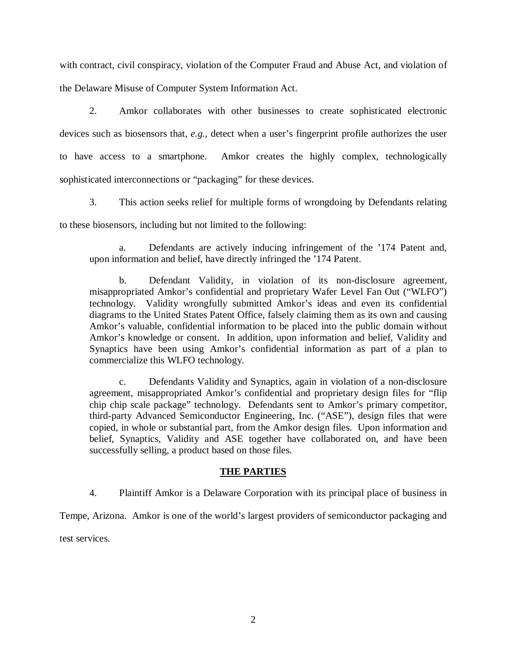with contract, civil conspiracy, violation of the Computer Fraud and Abuse Act, and violation of the Delaware Misuse of Computer System Information Act.

2. Amkor collaborates with other businesses to create sophisticated electronic devices such as biosensors that, *e.g.*, detect when a user's fingerprint profile authorizes the user to have access to a smartphone. Amkor creates the highly complex, technologically sophisticated interconnections or "packaging" for these devices.

3. This action seeks relief for multiple forms of wrongdoing by Defendants relating to these biosensors, including but not limited to the following:

a. Defendants are actively inducing infringement of the '174 Patent and, upon information and belief, have directly infringed the '174 Patent.

b. Defendant Validity, in violation of its non-disclosure agreement, misappropriated Amkor's confidential and proprietary Wafer Level Fan Out ("WLFO") technology. Validity wrongfully submitted Amkor's ideas and even its confidential diagrams to the United States Patent Office, falsely claiming them as its own and causing Amkor's valuable, confidential information to be placed into the public domain without Amkor's knowledge or consent. In addition, upon information and belief, Validity and Synaptics have been using Amkor's confidential information as part of a plan to commercialize this WLFO technology.

c. Defendants Validity and Synaptics, again in violation of a non-disclosure agreement, misappropriated Amkor's confidential and proprietary design files for "flip chip chip scale package" technology. Defendants sent to Amkor's primary competitor, third-party Advanced Semiconductor Engineering, Inc. ("ASE"), design files that were copied, in whole or substantial part, from the Amkor design files. Upon information and belief, Synaptics, Validity and ASE together have collaborated on, and have been successfully selling, a product based on those files.

# **THE PARTIES**

4. Plaintiff Amkor is a Delaware Corporation with its principal place of business in

Tempe, Arizona. Amkor is one of the world's largest providers of semiconductor packaging and

test services.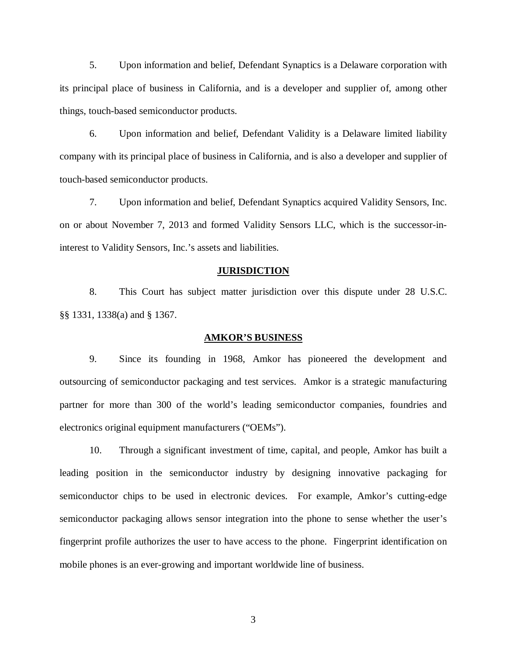5. Upon information and belief, Defendant Synaptics is a Delaware corporation with its principal place of business in California, and is a developer and supplier of, among other things, touch-based semiconductor products.

6. Upon information and belief, Defendant Validity is a Delaware limited liability company with its principal place of business in California, and is also a developer and supplier of touch-based semiconductor products.

7. Upon information and belief, Defendant Synaptics acquired Validity Sensors, Inc. on or about November 7, 2013 and formed Validity Sensors LLC, which is the successor-ininterest to Validity Sensors, Inc.'s assets and liabilities.

#### **JURISDICTION**

8. This Court has subject matter jurisdiction over this dispute under 28 U.S.C. §§ 1331, 1338(a) and § 1367.

### **AMKOR'S BUSINESS**

9. Since its founding in 1968, Amkor has pioneered the development and outsourcing of semiconductor packaging and test services. Amkor is a strategic manufacturing partner for more than 300 of the world's leading semiconductor companies, foundries and electronics original equipment manufacturers ("OEMs").

10. Through a significant investment of time, capital, and people, Amkor has built a leading position in the semiconductor industry by designing innovative packaging for semiconductor chips to be used in electronic devices. For example, Amkor's cutting-edge semiconductor packaging allows sensor integration into the phone to sense whether the user's fingerprint profile authorizes the user to have access to the phone. Fingerprint identification on mobile phones is an ever-growing and important worldwide line of business.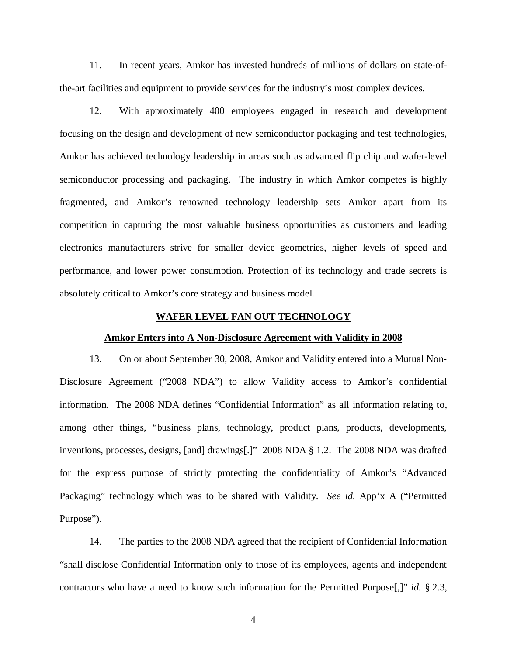11. In recent years, Amkor has invested hundreds of millions of dollars on state-ofthe-art facilities and equipment to provide services for the industry's most complex devices.

12. With approximately 400 employees engaged in research and development focusing on the design and development of new semiconductor packaging and test technologies, Amkor has achieved technology leadership in areas such as advanced flip chip and wafer-level semiconductor processing and packaging. The industry in which Amkor competes is highly fragmented, and Amkor's renowned technology leadership sets Amkor apart from its competition in capturing the most valuable business opportunities as customers and leading electronics manufacturers strive for smaller device geometries, higher levels of speed and performance, and lower power consumption. Protection of its technology and trade secrets is absolutely critical to Amkor's core strategy and business model.

#### **WAFER LEVEL FAN OUT TECHNOLOGY**

#### **Amkor Enters into A Non-Disclosure Agreement with Validity in 2008**

13. On or about September 30, 2008, Amkor and Validity entered into a Mutual Non-Disclosure Agreement ("2008 NDA") to allow Validity access to Amkor's confidential information. The 2008 NDA defines "Confidential Information" as all information relating to, among other things, "business plans, technology, product plans, products, developments, inventions, processes, designs, [and] drawings[.]" 2008 NDA § 1.2. The 2008 NDA was drafted for the express purpose of strictly protecting the confidentiality of Amkor's "Advanced Packaging" technology which was to be shared with Validity. *See id.* App'x A ("Permitted Purpose").

14. The parties to the 2008 NDA agreed that the recipient of Confidential Information "shall disclose Confidential Information only to those of its employees, agents and independent contractors who have a need to know such information for the Permitted Purpose[,]" *id.* § 2.3,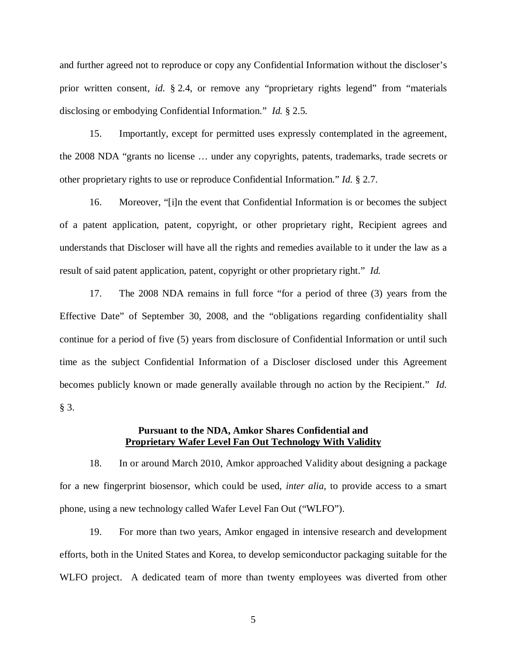and further agreed not to reproduce or copy any Confidential Information without the discloser's prior written consent, *id.* § 2.4, or remove any "proprietary rights legend" from "materials disclosing or embodying Confidential Information." *Id.* § 2.5.

15. Importantly, except for permitted uses expressly contemplated in the agreement, the 2008 NDA "grants no license … under any copyrights, patents, trademarks, trade secrets or other proprietary rights to use or reproduce Confidential Information." *Id.* § 2.7.

16. Moreover, "[i]n the event that Confidential Information is or becomes the subject of a patent application, patent, copyright, or other proprietary right, Recipient agrees and understands that Discloser will have all the rights and remedies available to it under the law as a result of said patent application, patent, copyright or other proprietary right." *Id.*

17. The 2008 NDA remains in full force "for a period of three (3) years from the Effective Date" of September 30, 2008, and the "obligations regarding confidentiality shall continue for a period of five (5) years from disclosure of Confidential Information or until such time as the subject Confidential Information of a Discloser disclosed under this Agreement becomes publicly known or made generally available through no action by the Recipient." *Id.* § 3.

#### **Pursuant to the NDA, Amkor Shares Confidential and Proprietary Wafer Level Fan Out Technology With Validity**

18. In or around March 2010, Amkor approached Validity about designing a package for a new fingerprint biosensor, which could be used, *inter alia*, to provide access to a smart phone, using a new technology called Wafer Level Fan Out ("WLFO").

19. For more than two years, Amkor engaged in intensive research and development efforts, both in the United States and Korea, to develop semiconductor packaging suitable for the WLFO project. A dedicated team of more than twenty employees was diverted from other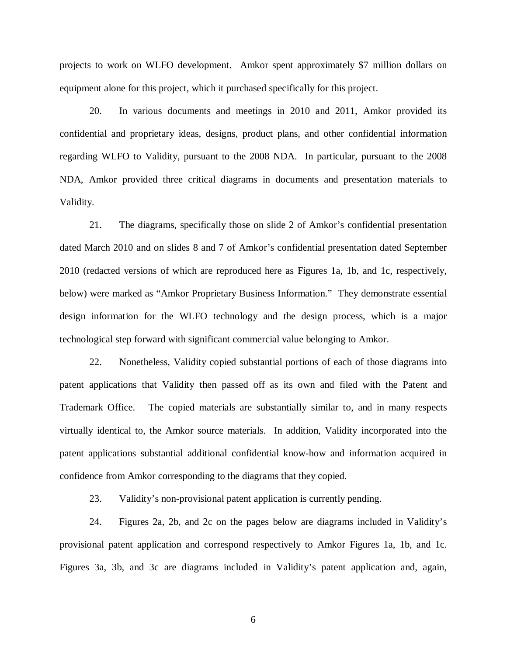projects to work on WLFO development. Amkor spent approximately \$7 million dollars on equipment alone for this project, which it purchased specifically for this project.

20. In various documents and meetings in 2010 and 2011, Amkor provided its confidential and proprietary ideas, designs, product plans, and other confidential information regarding WLFO to Validity, pursuant to the 2008 NDA. In particular, pursuant to the 2008 NDA, Amkor provided three critical diagrams in documents and presentation materials to Validity.

21. The diagrams, specifically those on slide 2 of Amkor's confidential presentation dated March 2010 and on slides 8 and 7 of Amkor's confidential presentation dated September 2010 (redacted versions of which are reproduced here as Figures 1a, 1b, and 1c, respectively, below) were marked as "Amkor Proprietary Business Information." They demonstrate essential design information for the WLFO technology and the design process, which is a major technological step forward with significant commercial value belonging to Amkor.

22. Nonetheless, Validity copied substantial portions of each of those diagrams into patent applications that Validity then passed off as its own and filed with the Patent and Trademark Office. The copied materials are substantially similar to, and in many respects virtually identical to, the Amkor source materials. In addition, Validity incorporated into the patent applications substantial additional confidential know-how and information acquired in confidence from Amkor corresponding to the diagrams that they copied.

23. Validity's non-provisional patent application is currently pending.

24. Figures 2a, 2b, and 2c on the pages below are diagrams included in Validity's provisional patent application and correspond respectively to Amkor Figures 1a, 1b, and 1c. Figures 3a, 3b, and 3c are diagrams included in Validity's patent application and, again,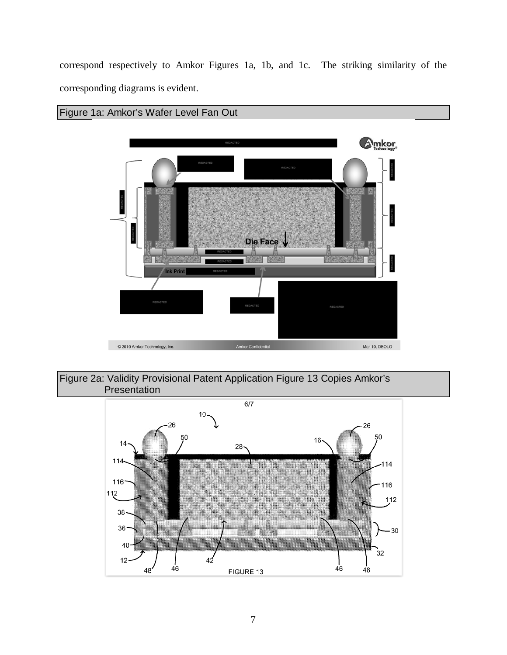correspond respectively to Amkor Figures 1a, 1b, and 1c. The striking similarity of the corresponding diagrams is evident.

# Figure 1a: Amkor's Wafer Level Fan Out





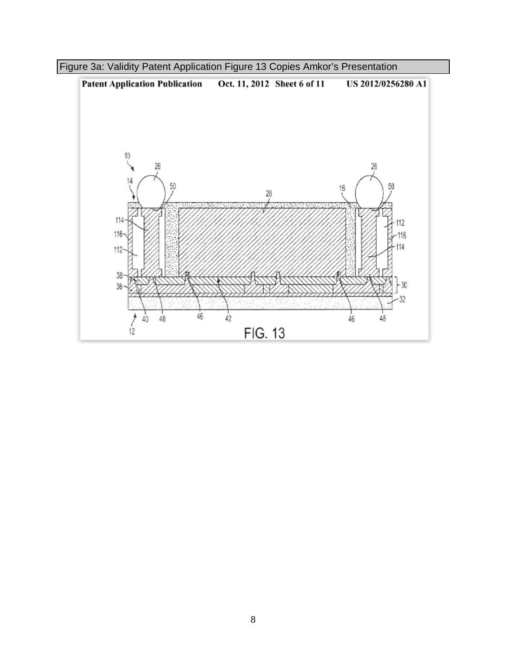

Figure 3a: Validity Patent Application Figure 13 Copies Amkor's Presentation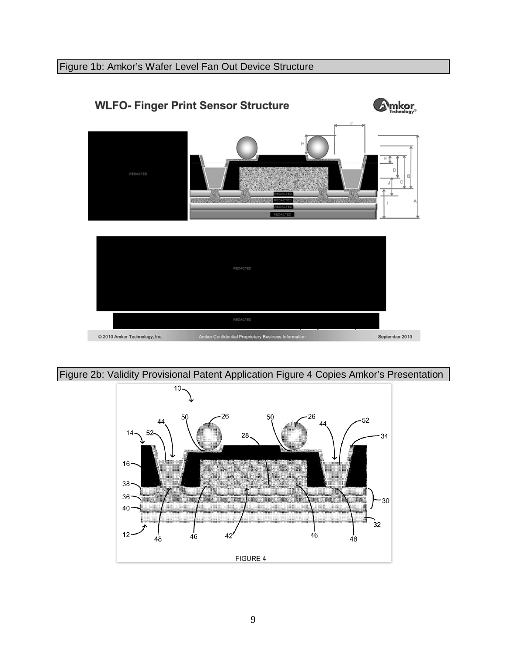# Figure 1b: Amkor's Wafer Level Fan Out Device Structure



# Figure 2b: Validity Provisional Patent Application Figure 4 Copies Amkor's Presentation

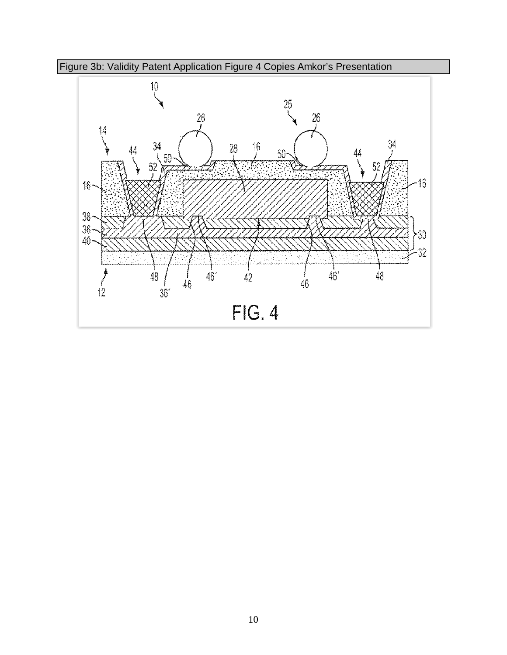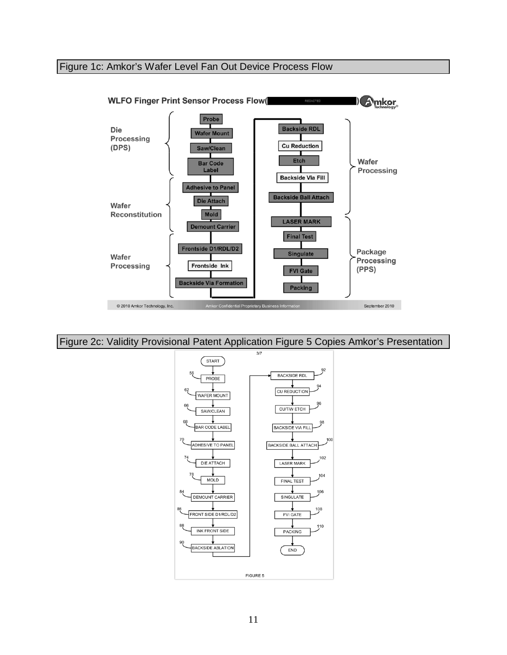# Figure 1c: Amkor's Wafer Level Fan Out Device Process Flow



Figure 2c: Validity Provisional Patent Application Figure 5 Copies Amkor's Presentation

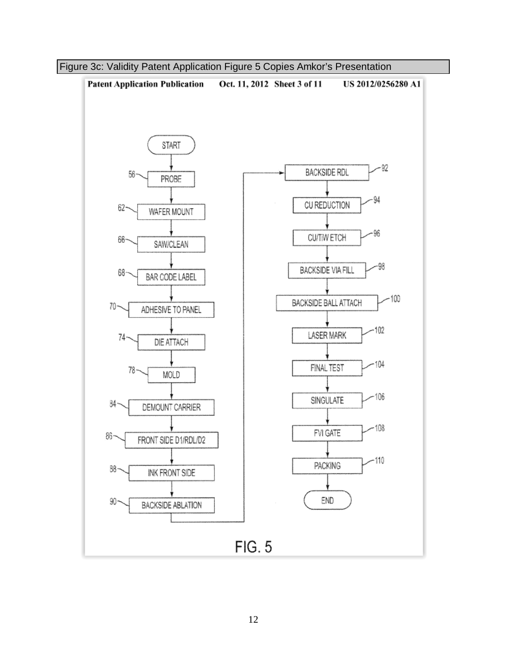

Figure 3c: Validity Patent Application Figure 5 Copies Amkor's Presentation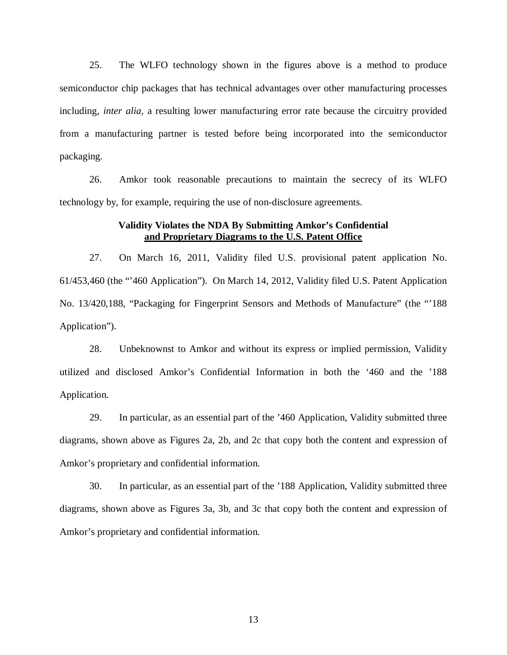25. The WLFO technology shown in the figures above is a method to produce semiconductor chip packages that has technical advantages over other manufacturing processes including, *inter alia*, a resulting lower manufacturing error rate because the circuitry provided from a manufacturing partner is tested before being incorporated into the semiconductor packaging.

26. Amkor took reasonable precautions to maintain the secrecy of its WLFO technology by, for example, requiring the use of non-disclosure agreements.

### **Validity Violates the NDA By Submitting Amkor's Confidential and Proprietary Diagrams to the U.S. Patent Office**

27. On March 16, 2011, Validity filed U.S. provisional patent application No. 61/453,460 (the "'460 Application"). On March 14, 2012, Validity filed U.S. Patent Application No. 13/420,188, "Packaging for Fingerprint Sensors and Methods of Manufacture" (the "'188 Application").

28. Unbeknownst to Amkor and without its express or implied permission, Validity utilized and disclosed Amkor's Confidential Information in both the '460 and the '188 Application.

29. In particular, as an essential part of the '460 Application, Validity submitted three diagrams, shown above as Figures 2a, 2b, and 2c that copy both the content and expression of Amkor's proprietary and confidential information.

30. In particular, as an essential part of the '188 Application, Validity submitted three diagrams, shown above as Figures 3a, 3b, and 3c that copy both the content and expression of Amkor's proprietary and confidential information.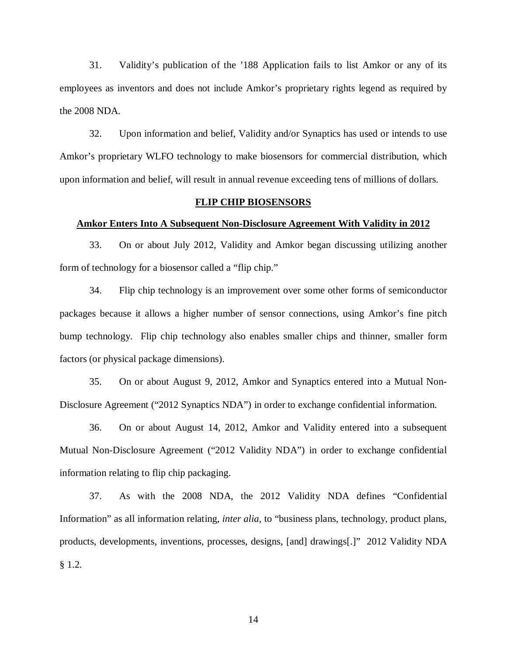31. Validity's publication of the '188 Application fails to list Amkor or any of its employees as inventors and does not include Amkor's proprietary rights legend as required by the 2008 NDA.

32. Upon information and belief, Validity and/or Synaptics has used or intends to use Amkor's proprietary WLFO technology to make biosensors for commercial distribution, which upon information and belief, will result in annual revenue exceeding tens of millions of dollars.

### **FLIP CHIP BIOSENSORS**

#### **Amkor Enters Into A Subsequent Non-Disclosure Agreement With Validity in 2012**

33. On or about July 2012, Validity and Amkor began discussing utilizing another form of technology for a biosensor called a "flip chip."

34. Flip chip technology is an improvement over some other forms of semiconductor packages because it allows a higher number of sensor connections, using Amkor's fine pitch bump technology. Flip chip technology also enables smaller chips and thinner, smaller form factors (or physical package dimensions).

35. On or about August 9, 2012, Amkor and Synaptics entered into a Mutual Non-Disclosure Agreement ("2012 Synaptics NDA") in order to exchange confidential information.

36. On or about August 14, 2012, Amkor and Validity entered into a subsequent Mutual Non-Disclosure Agreement ("2012 Validity NDA") in order to exchange confidential information relating to flip chip packaging.

37. As with the 2008 NDA, the 2012 Validity NDA defines "Confidential Information" as all information relating, *inter alia*, to "business plans, technology, product plans, products, developments, inventions, processes, designs, [and] drawings[.]" 2012 Validity NDA § 1.2.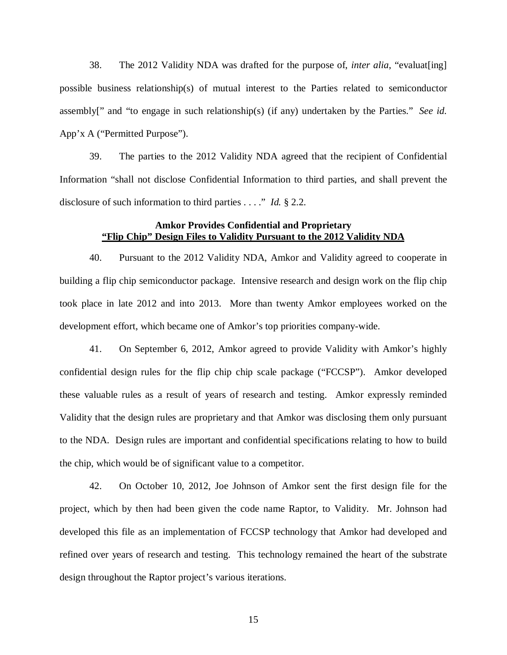38. The 2012 Validity NDA was drafted for the purpose of, *inter alia*, "evaluat[ing] possible business relationship(s) of mutual interest to the Parties related to semiconductor assembly[" and "to engage in such relationship(s) (if any) undertaken by the Parties." *See id.* App'x A ("Permitted Purpose").

39. The parties to the 2012 Validity NDA agreed that the recipient of Confidential Information "shall not disclose Confidential Information to third parties, and shall prevent the disclosure of such information to third parties . . . ." *Id.* § 2.2.

### **Amkor Provides Confidential and Proprietary "Flip Chip" Design Files to Validity Pursuant to the 2012 Validity NDA**

40. Pursuant to the 2012 Validity NDA, Amkor and Validity agreed to cooperate in building a flip chip semiconductor package. Intensive research and design work on the flip chip took place in late 2012 and into 2013. More than twenty Amkor employees worked on the development effort, which became one of Amkor's top priorities company-wide.

41. On September 6, 2012, Amkor agreed to provide Validity with Amkor's highly confidential design rules for the flip chip chip scale package ("FCCSP"). Amkor developed these valuable rules as a result of years of research and testing. Amkor expressly reminded Validity that the design rules are proprietary and that Amkor was disclosing them only pursuant to the NDA. Design rules are important and confidential specifications relating to how to build the chip, which would be of significant value to a competitor.

42. On October 10, 2012, Joe Johnson of Amkor sent the first design file for the project, which by then had been given the code name Raptor, to Validity. Mr. Johnson had developed this file as an implementation of FCCSP technology that Amkor had developed and refined over years of research and testing. This technology remained the heart of the substrate design throughout the Raptor project's various iterations.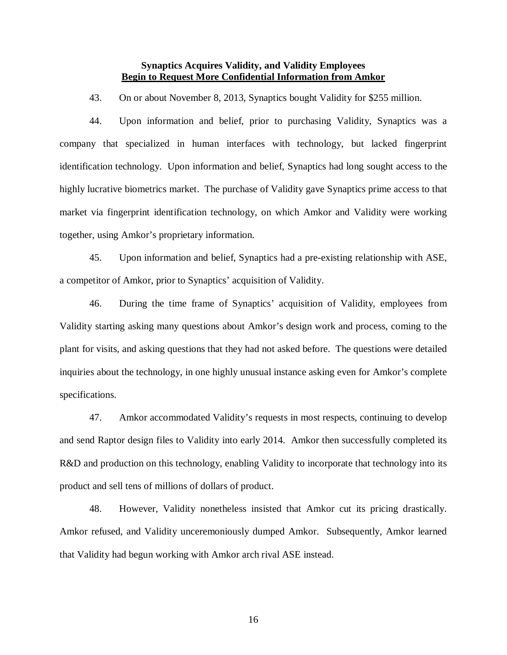### **Synaptics Acquires Validity, and Validity Employees Begin to Request More Confidential Information from Amkor**

43. On or about November 8, 2013, Synaptics bought Validity for \$255 million.

44. Upon information and belief, prior to purchasing Validity, Synaptics was a company that specialized in human interfaces with technology, but lacked fingerprint identification technology. Upon information and belief, Synaptics had long sought access to the highly lucrative biometrics market. The purchase of Validity gave Synaptics prime access to that market via fingerprint identification technology, on which Amkor and Validity were working together, using Amkor's proprietary information.

45. Upon information and belief, Synaptics had a pre-existing relationship with ASE, a competitor of Amkor, prior to Synaptics' acquisition of Validity.

46. During the time frame of Synaptics' acquisition of Validity, employees from Validity starting asking many questions about Amkor's design work and process, coming to the plant for visits, and asking questions that they had not asked before. The questions were detailed inquiries about the technology, in one highly unusual instance asking even for Amkor's complete specifications.

47. Amkor accommodated Validity's requests in most respects, continuing to develop and send Raptor design files to Validity into early 2014. Amkor then successfully completed its R&D and production on this technology, enabling Validity to incorporate that technology into its product and sell tens of millions of dollars of product.

48. However, Validity nonetheless insisted that Amkor cut its pricing drastically. Amkor refused, and Validity unceremoniously dumped Amkor. Subsequently, Amkor learned that Validity had begun working with Amkor arch rival ASE instead.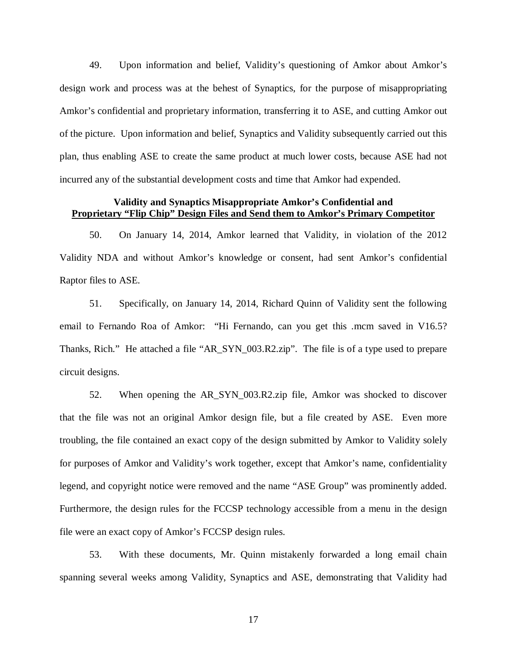49. Upon information and belief, Validity's questioning of Amkor about Amkor's design work and process was at the behest of Synaptics, for the purpose of misappropriating Amkor's confidential and proprietary information, transferring it to ASE, and cutting Amkor out of the picture. Upon information and belief, Synaptics and Validity subsequently carried out this plan, thus enabling ASE to create the same product at much lower costs, because ASE had not incurred any of the substantial development costs and time that Amkor had expended.

### **Validity and Synaptics Misappropriate Amkor's Confidential and Proprietary "Flip Chip" Design Files and Send them to Amkor's Primary Competitor**

50. On January 14, 2014, Amkor learned that Validity, in violation of the 2012 Validity NDA and without Amkor's knowledge or consent, had sent Amkor's confidential Raptor files to ASE.

51. Specifically, on January 14, 2014, Richard Quinn of Validity sent the following email to Fernando Roa of Amkor: "Hi Fernando, can you get this .mcm saved in V16.5? Thanks, Rich." He attached a file "AR\_SYN\_003.R2.zip". The file is of a type used to prepare circuit designs.

52. When opening the AR\_SYN\_003.R2.zip file, Amkor was shocked to discover that the file was not an original Amkor design file, but a file created by ASE. Even more troubling, the file contained an exact copy of the design submitted by Amkor to Validity solely for purposes of Amkor and Validity's work together, except that Amkor's name, confidentiality legend, and copyright notice were removed and the name "ASE Group" was prominently added. Furthermore, the design rules for the FCCSP technology accessible from a menu in the design file were an exact copy of Amkor's FCCSP design rules.

53. With these documents, Mr. Quinn mistakenly forwarded a long email chain spanning several weeks among Validity, Synaptics and ASE, demonstrating that Validity had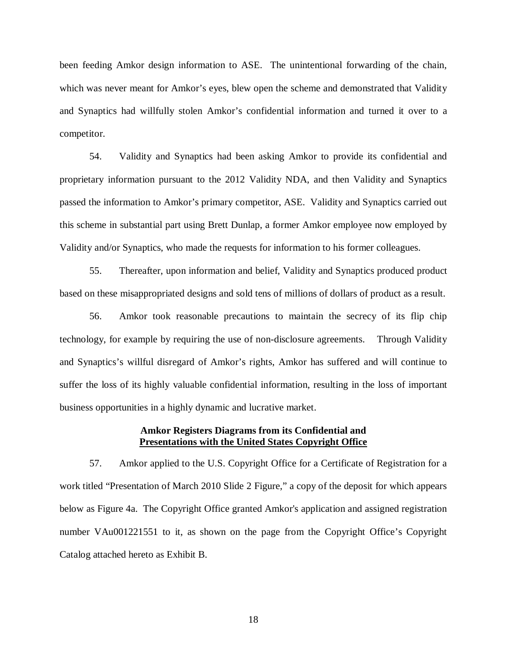been feeding Amkor design information to ASE. The unintentional forwarding of the chain, which was never meant for Amkor's eyes, blew open the scheme and demonstrated that Validity and Synaptics had willfully stolen Amkor's confidential information and turned it over to a competitor.

54. Validity and Synaptics had been asking Amkor to provide its confidential and proprietary information pursuant to the 2012 Validity NDA, and then Validity and Synaptics passed the information to Amkor's primary competitor, ASE. Validity and Synaptics carried out this scheme in substantial part using Brett Dunlap, a former Amkor employee now employed by Validity and/or Synaptics, who made the requests for information to his former colleagues.

55. Thereafter, upon information and belief, Validity and Synaptics produced product based on these misappropriated designs and sold tens of millions of dollars of product as a result.

56. Amkor took reasonable precautions to maintain the secrecy of its flip chip technology, for example by requiring the use of non-disclosure agreements. Through Validity and Synaptics's willful disregard of Amkor's rights, Amkor has suffered and will continue to suffer the loss of its highly valuable confidential information, resulting in the loss of important business opportunities in a highly dynamic and lucrative market.

### **Amkor Registers Diagrams from its Confidential and Presentations with the United States Copyright Office**

57. Amkor applied to the U.S. Copyright Office for a Certificate of Registration for a work titled "Presentation of March 2010 Slide 2 Figure," a copy of the deposit for which appears below as Figure 4a. The Copyright Office granted Amkor's application and assigned registration number VAu001221551 to it, as shown on the page from the Copyright Office's Copyright Catalog attached hereto as Exhibit B.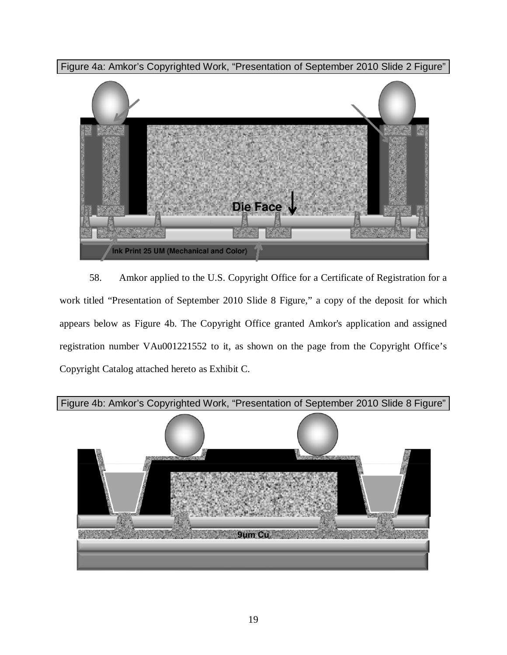Figure 4a: Amkor's Copyrighted Work, "Presentation of September 2010 Slide 2 Figure"



58. Amkor applied to the U.S. Copyright Office for a Certificate of Registration for a work titled "Presentation of September 2010 Slide 8 Figure," a copy of the deposit for which appears below as Figure 4b. The Copyright Office granted Amkor's application and assigned registration number VAu001221552 to it, as shown on the page from the Copyright Office's Copyright Catalog attached hereto as Exhibit C.

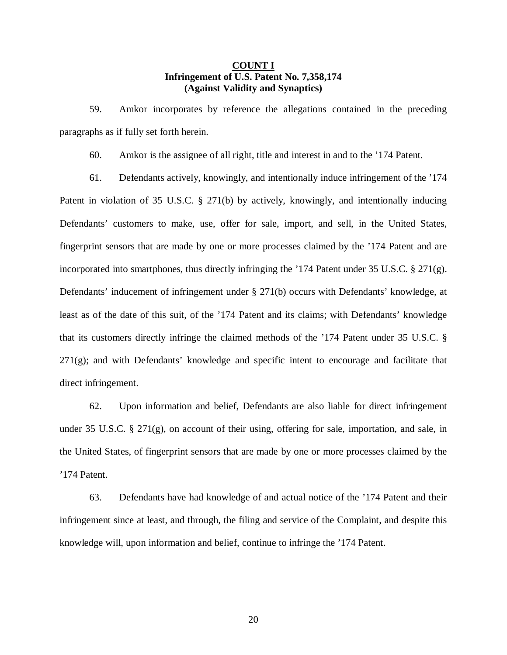### **COUNT I Infringement of U.S. Patent No. 7,358,174 (Against Validity and Synaptics)**

59. Amkor incorporates by reference the allegations contained in the preceding paragraphs as if fully set forth herein.

60. Amkor is the assignee of all right, title and interest in and to the '174 Patent.

61. Defendants actively, knowingly, and intentionally induce infringement of the '174 Patent in violation of 35 U.S.C. § 271(b) by actively, knowingly, and intentionally inducing Defendants' customers to make, use, offer for sale, import, and sell, in the United States, fingerprint sensors that are made by one or more processes claimed by the '174 Patent and are incorporated into smartphones, thus directly infringing the '174 Patent under 35 U.S.C.  $\S 271(g)$ . Defendants' inducement of infringement under § 271(b) occurs with Defendants' knowledge, at least as of the date of this suit, of the '174 Patent and its claims; with Defendants' knowledge that its customers directly infringe the claimed methods of the '174 Patent under 35 U.S.C. §  $271(g)$ ; and with Defendants' knowledge and specific intent to encourage and facilitate that direct infringement.

62. Upon information and belief, Defendants are also liable for direct infringement under 35 U.S.C. § 271(g), on account of their using, offering for sale, importation, and sale, in the United States, of fingerprint sensors that are made by one or more processes claimed by the '174 Patent.

63. Defendants have had knowledge of and actual notice of the '174 Patent and their infringement since at least, and through, the filing and service of the Complaint, and despite this knowledge will, upon information and belief, continue to infringe the '174 Patent.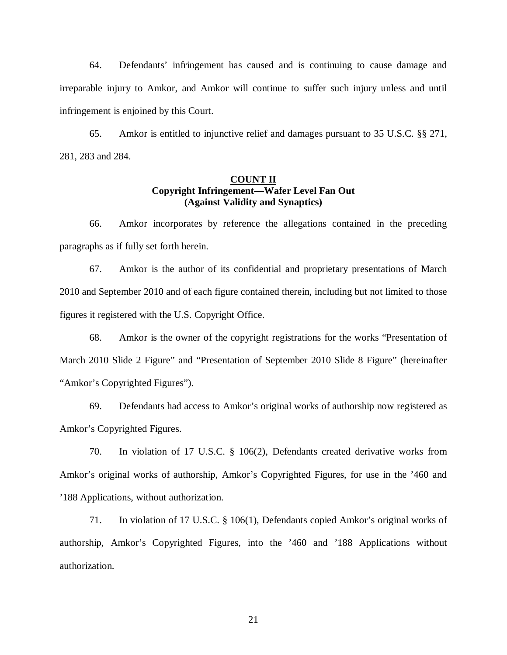64. Defendants' infringement has caused and is continuing to cause damage and irreparable injury to Amkor, and Amkor will continue to suffer such injury unless and until infringement is enjoined by this Court.

65. Amkor is entitled to injunctive relief and damages pursuant to 35 U.S.C. §§ 271, 281, 283 and 284.

# **COUNT II Copyright Infringement—Wafer Level Fan Out (Against Validity and Synaptics)**

66. Amkor incorporates by reference the allegations contained in the preceding paragraphs as if fully set forth herein.

67. Amkor is the author of its confidential and proprietary presentations of March 2010 and September 2010 and of each figure contained therein, including but not limited to those figures it registered with the U.S. Copyright Office.

68. Amkor is the owner of the copyright registrations for the works "Presentation of March 2010 Slide 2 Figure" and "Presentation of September 2010 Slide 8 Figure" (hereinafter "Amkor's Copyrighted Figures").

69. Defendants had access to Amkor's original works of authorship now registered as Amkor's Copyrighted Figures.

70. In violation of 17 U.S.C. § 106(2), Defendants created derivative works from Amkor's original works of authorship, Amkor's Copyrighted Figures, for use in the '460 and '188 Applications, without authorization.

71. In violation of 17 U.S.C. § 106(1), Defendants copied Amkor's original works of authorship, Amkor's Copyrighted Figures, into the '460 and '188 Applications without authorization.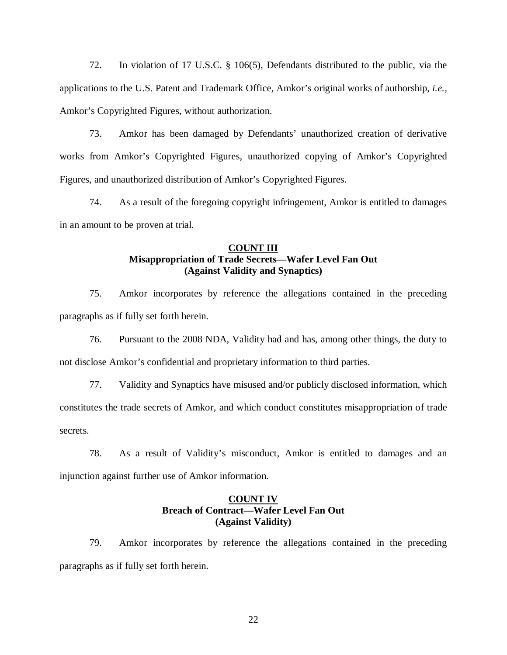72. In violation of 17 U.S.C. § 106(5), Defendants distributed to the public, via the applications to the U.S. Patent and Trademark Office, Amkor's original works of authorship, *i.e.,*  Amkor's Copyrighted Figures, without authorization.

73. Amkor has been damaged by Defendants' unauthorized creation of derivative works from Amkor's Copyrighted Figures, unauthorized copying of Amkor's Copyrighted Figures, and unauthorized distribution of Amkor's Copyrighted Figures.

74. As a result of the foregoing copyright infringement, Amkor is entitled to damages in an amount to be proven at trial.

### **COUNT III Misappropriation of Trade Secrets—Wafer Level Fan Out (Against Validity and Synaptics)**

75. Amkor incorporates by reference the allegations contained in the preceding paragraphs as if fully set forth herein.

76. Pursuant to the 2008 NDA, Validity had and has, among other things, the duty to not disclose Amkor's confidential and proprietary information to third parties.

77. Validity and Synaptics have misused and/or publicly disclosed information, which constitutes the trade secrets of Amkor, and which conduct constitutes misappropriation of trade secrets.

78. As a result of Validity's misconduct, Amkor is entitled to damages and an injunction against further use of Amkor information.

## **COUNT IV Breach of Contract—Wafer Level Fan Out (Against Validity)**

79. Amkor incorporates by reference the allegations contained in the preceding paragraphs as if fully set forth herein.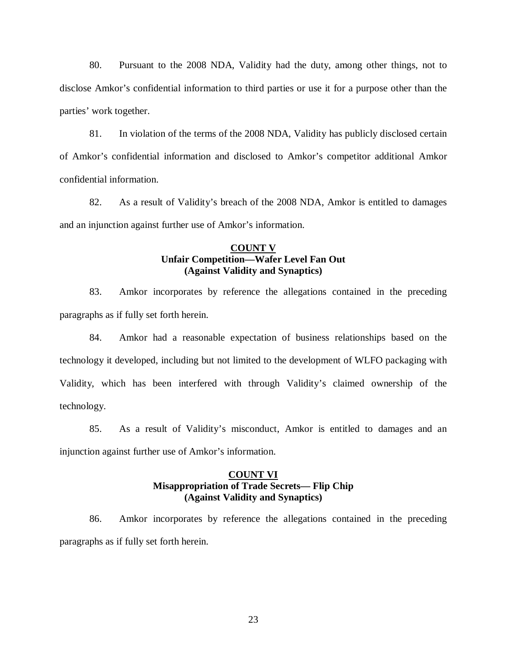80. Pursuant to the 2008 NDA, Validity had the duty, among other things, not to disclose Amkor's confidential information to third parties or use it for a purpose other than the parties' work together.

81. In violation of the terms of the 2008 NDA, Validity has publicly disclosed certain of Amkor's confidential information and disclosed to Amkor's competitor additional Amkor confidential information.

82. As a result of Validity's breach of the 2008 NDA, Amkor is entitled to damages and an injunction against further use of Amkor's information.

### **COUNT V Unfair Competition—Wafer Level Fan Out (Against Validity and Synaptics)**

83. Amkor incorporates by reference the allegations contained in the preceding paragraphs as if fully set forth herein.

84. Amkor had a reasonable expectation of business relationships based on the technology it developed, including but not limited to the development of WLFO packaging with Validity, which has been interfered with through Validity's claimed ownership of the technology.

85. As a result of Validity's misconduct, Amkor is entitled to damages and an injunction against further use of Amkor's information.

### **COUNT VI Misappropriation of Trade Secrets— Flip Chip (Against Validity and Synaptics)**

86. Amkor incorporates by reference the allegations contained in the preceding paragraphs as if fully set forth herein.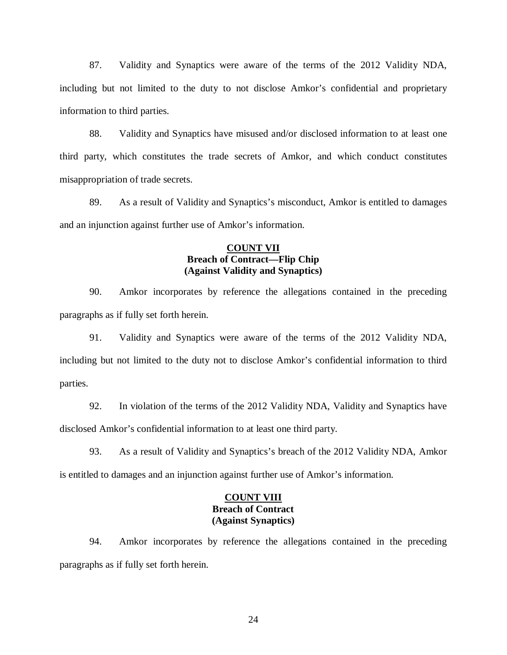87. Validity and Synaptics were aware of the terms of the 2012 Validity NDA, including but not limited to the duty to not disclose Amkor's confidential and proprietary information to third parties.

88. Validity and Synaptics have misused and/or disclosed information to at least one third party, which constitutes the trade secrets of Amkor, and which conduct constitutes misappropriation of trade secrets.

89. As a result of Validity and Synaptics's misconduct, Amkor is entitled to damages and an injunction against further use of Amkor's information.

### **COUNT VII Breach of Contract—Flip Chip (Against Validity and Synaptics)**

90. Amkor incorporates by reference the allegations contained in the preceding paragraphs as if fully set forth herein.

91. Validity and Synaptics were aware of the terms of the 2012 Validity NDA, including but not limited to the duty not to disclose Amkor's confidential information to third parties.

92. In violation of the terms of the 2012 Validity NDA, Validity and Synaptics have disclosed Amkor's confidential information to at least one third party.

93. As a result of Validity and Synaptics's breach of the 2012 Validity NDA, Amkor is entitled to damages and an injunction against further use of Amkor's information.

# **COUNT VIII Breach of Contract (Against Synaptics)**

94. Amkor incorporates by reference the allegations contained in the preceding paragraphs as if fully set forth herein.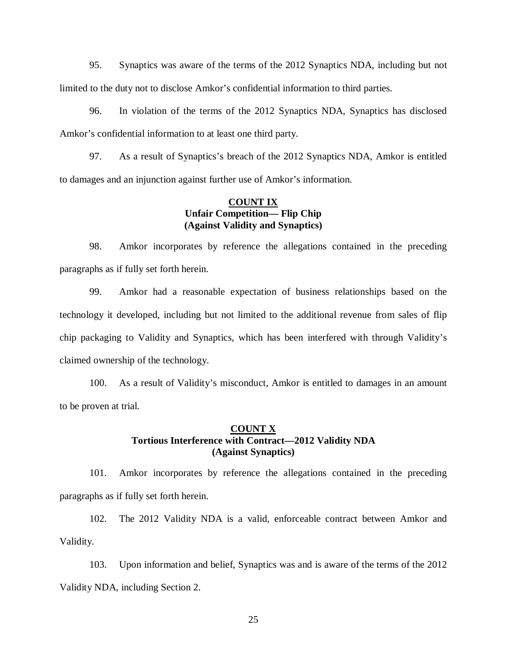95. Synaptics was aware of the terms of the 2012 Synaptics NDA, including but not limited to the duty not to disclose Amkor's confidential information to third parties.

96. In violation of the terms of the 2012 Synaptics NDA, Synaptics has disclosed Amkor's confidential information to at least one third party.

97. As a result of Synaptics's breach of the 2012 Synaptics NDA, Amkor is entitled to damages and an injunction against further use of Amkor's information.

### **COUNT IX Unfair Competition— Flip Chip (Against Validity and Synaptics)**

98. Amkor incorporates by reference the allegations contained in the preceding paragraphs as if fully set forth herein.

99. Amkor had a reasonable expectation of business relationships based on the technology it developed, including but not limited to the additional revenue from sales of flip chip packaging to Validity and Synaptics, which has been interfered with through Validity's claimed ownership of the technology.

100. As a result of Validity's misconduct, Amkor is entitled to damages in an amount to be proven at trial.

## **COUNT X Tortious Interference with Contract—2012 Validity NDA (Against Synaptics)**

101. Amkor incorporates by reference the allegations contained in the preceding paragraphs as if fully set forth herein.

102. The 2012 Validity NDA is a valid, enforceable contract between Amkor and Validity.

103. Upon information and belief, Synaptics was and is aware of the terms of the 2012 Validity NDA, including Section 2.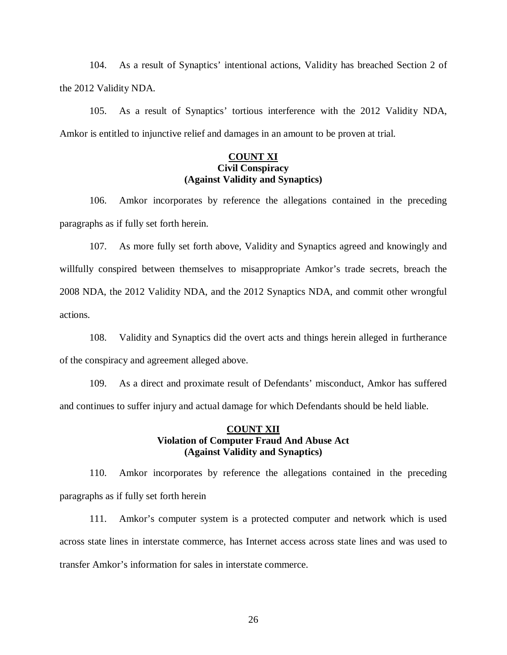104. As a result of Synaptics' intentional actions, Validity has breached Section 2 of the 2012 Validity NDA.

105. As a result of Synaptics' tortious interference with the 2012 Validity NDA, Amkor is entitled to injunctive relief and damages in an amount to be proven at trial.

### **COUNT XI Civil Conspiracy (Against Validity and Synaptics)**

106. Amkor incorporates by reference the allegations contained in the preceding paragraphs as if fully set forth herein.

107. As more fully set forth above, Validity and Synaptics agreed and knowingly and willfully conspired between themselves to misappropriate Amkor's trade secrets, breach the 2008 NDA, the 2012 Validity NDA, and the 2012 Synaptics NDA, and commit other wrongful actions.

108. Validity and Synaptics did the overt acts and things herein alleged in furtherance of the conspiracy and agreement alleged above.

109. As a direct and proximate result of Defendants' misconduct, Amkor has suffered and continues to suffer injury and actual damage for which Defendants should be held liable.

### **COUNT XII Violation of Computer Fraud And Abuse Act (Against Validity and Synaptics)**

110. Amkor incorporates by reference the allegations contained in the preceding paragraphs as if fully set forth herein

111. Amkor's computer system is a protected computer and network which is used across state lines in interstate commerce, has Internet access across state lines and was used to transfer Amkor's information for sales in interstate commerce.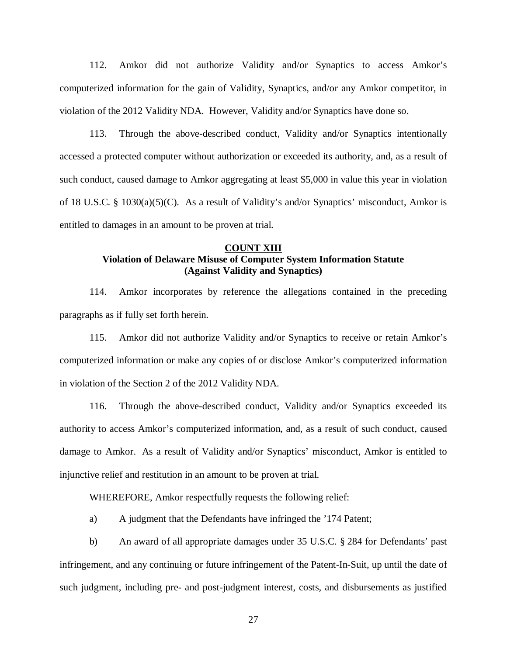112. Amkor did not authorize Validity and/or Synaptics to access Amkor's computerized information for the gain of Validity, Synaptics, and/or any Amkor competitor, in violation of the 2012 Validity NDA. However, Validity and/or Synaptics have done so.

113. Through the above-described conduct, Validity and/or Synaptics intentionally accessed a protected computer without authorization or exceeded its authority, and, as a result of such conduct, caused damage to Amkor aggregating at least \$5,000 in value this year in violation of 18 U.S.C. § 1030(a)(5)(C). As a result of Validity's and/or Synaptics' misconduct, Amkor is entitled to damages in an amount to be proven at trial.

## **COUNT XIII Violation of Delaware Misuse of Computer System Information Statute (Against Validity and Synaptics)**

114. Amkor incorporates by reference the allegations contained in the preceding paragraphs as if fully set forth herein.

115. Amkor did not authorize Validity and/or Synaptics to receive or retain Amkor's computerized information or make any copies of or disclose Amkor's computerized information in violation of the Section 2 of the 2012 Validity NDA.

116. Through the above-described conduct, Validity and/or Synaptics exceeded its authority to access Amkor's computerized information, and, as a result of such conduct, caused damage to Amkor. As a result of Validity and/or Synaptics' misconduct, Amkor is entitled to injunctive relief and restitution in an amount to be proven at trial.

WHEREFORE, Amkor respectfully requests the following relief:

a) A judgment that the Defendants have infringed the '174 Patent;

b) An award of all appropriate damages under 35 U.S.C. § 284 for Defendants' past infringement, and any continuing or future infringement of the Patent-In-Suit, up until the date of such judgment, including pre- and post-judgment interest, costs, and disbursements as justified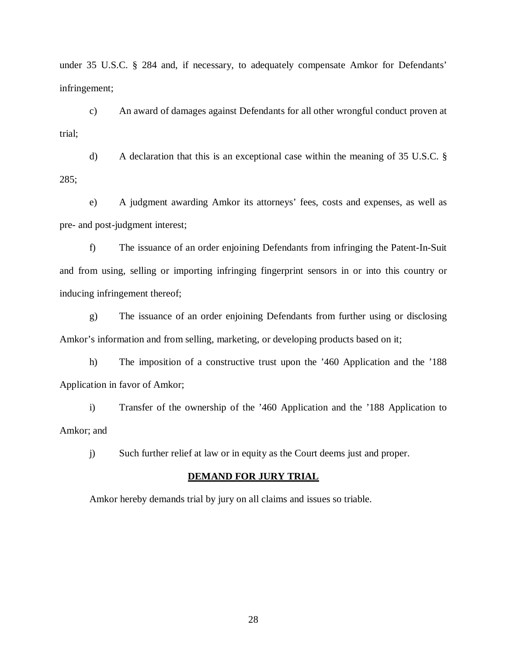under 35 U.S.C. § 284 and, if necessary, to adequately compensate Amkor for Defendants' infringement;

c) An award of damages against Defendants for all other wrongful conduct proven at trial;

d) A declaration that this is an exceptional case within the meaning of 35 U.S.C. § 285;

e) A judgment awarding Amkor its attorneys' fees, costs and expenses, as well as pre- and post-judgment interest;

f) The issuance of an order enjoining Defendants from infringing the Patent-In-Suit and from using, selling or importing infringing fingerprint sensors in or into this country or inducing infringement thereof;

g) The issuance of an order enjoining Defendants from further using or disclosing Amkor's information and from selling, marketing, or developing products based on it;

h) The imposition of a constructive trust upon the '460 Application and the '188 Application in favor of Amkor;

i) Transfer of the ownership of the '460 Application and the '188 Application to Amkor; and

j) Such further relief at law or in equity as the Court deems just and proper.

#### **DEMAND FOR JURY TRIAL**

Amkor hereby demands trial by jury on all claims and issues so triable.